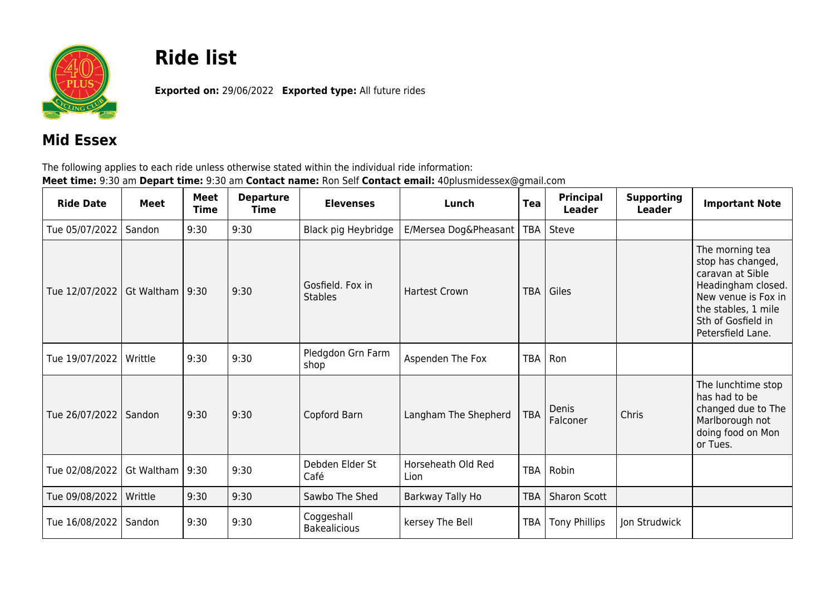

## **Ride list**

**Exported on:** 29/06/2022 **Exported type:** All future rides

## **Mid Essex**

The following applies to each ride unless otherwise stated within the individual ride information: **Meet time:** 9:30 am **Depart time:** 9:30 am **Contact name:** Ron Self **Contact email:** 40plusmidessex@gmail.com

| <b>Ride Date</b> | <b>Meet</b>       | Meet<br>Time | <b>Departure</b><br>Time | <b>Elevenses</b>                   | Lunch                      | <b>Tea</b> | <b>Principal</b><br><b>Leader</b> | <b>Supporting</b><br><b>Leader</b> | <b>Important Note</b>                                                                                                                                                   |
|------------------|-------------------|--------------|--------------------------|------------------------------------|----------------------------|------------|-----------------------------------|------------------------------------|-------------------------------------------------------------------------------------------------------------------------------------------------------------------------|
| Tue 05/07/2022   | Sandon            | 9:30         | 9:30                     | Black pig Heybridge                | E/Mersea Dog&Pheasant      | <b>TBA</b> | Steve                             |                                    |                                                                                                                                                                         |
| Tue 12/07/2022   | Gt Waltham   9:30 |              | 9:30                     | Gosfield. Fox in<br><b>Stables</b> | <b>Hartest Crown</b>       | <b>TBA</b> | Giles                             |                                    | The morning tea<br>stop has changed,<br>caravan at Sible<br>Headingham closed.<br>New venue is Fox in<br>the stables, 1 mile<br>Sth of Gosfield in<br>Petersfield Lane. |
| Tue 19/07/2022   | Writtle           | 9:30         | 9:30                     | Pledgdon Grn Farm<br>shop          | Aspenden The Fox           | TBA        | Ron                               |                                    |                                                                                                                                                                         |
| Tue 26/07/2022   | Sandon            | 9:30         | 9:30                     | Copford Barn                       | Langham The Shepherd       | <b>TBA</b> | Denis<br>Falconer                 | Chris                              | The lunchtime stop<br>has had to be<br>changed due to The<br>Marlborough not<br>doing food on Mon<br>or Tues.                                                           |
| Tue 02/08/2022   | Gt Waltham        | 9:30         | 9:30                     | Debden Elder St<br>Café            | Horseheath Old Red<br>Lion | TBA        | Robin                             |                                    |                                                                                                                                                                         |
| Tue 09/08/2022   | Writtle           | 9:30         | 9:30                     | Sawbo The Shed                     | Barkway Tally Ho           | <b>TBA</b> | <b>Sharon Scott</b>               |                                    |                                                                                                                                                                         |
| Tue 16/08/2022   | Sandon            | 9:30         | 9:30                     | Coggeshall<br><b>Bakealicious</b>  | kersey The Bell            | TBA        | <b>Tony Phillips</b>              | Jon Strudwick                      |                                                                                                                                                                         |